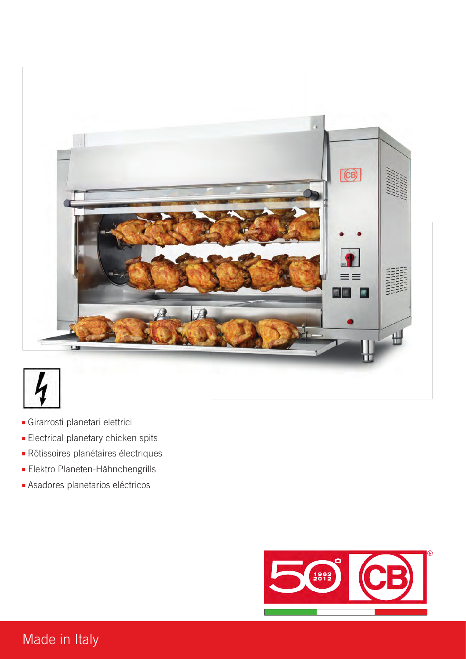

- **■** Girarrosti planetari elettrici
- **■** Electrical planetary chicken spits
- **■** Rôtissoires planétaires électriques
- Elektro Planeten-Hähnchengrills
- **■** Asadores planetarios eléctricos



## Made in Italy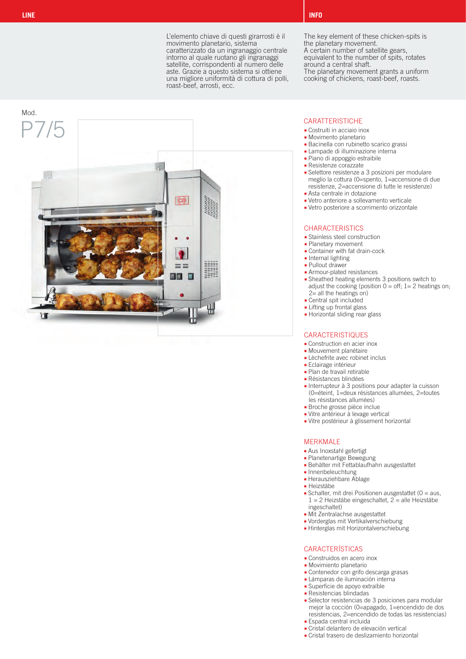L'elemento chiave di questi girarrosti è il movimento planetario, sistema caratterizzato da un ingranaggio centrale intorno al quale ruotano gli ingranaggi satellite, corrispondenti al numero delle aste. Grazie a questo sistema si ottiene una migliore uniformità di cottura di polli, roast-beef, arrosti, ecc.



The key element of these chicken-spits is the planetary movement.

A certain number of satellite gears,

equivalent to the number of spits, rotates around a central shaft.

The planetary movement grants a uniform cooking of chickens, roast-beef, roasts.

- **■** Costruiti in acciaio inox
- 
- **■** Bacinella con rubinetto scarico grassi
- **■** Lampade di illuminazione interna **■** Piano di appoggio estraibile
- **■** Resistenze corazzate
- 
- **■** Selettore resistenze a 3 posizioni per modulare meglio la cottura (0=spento, 1=accensione di due resistenze, 2=accensione di tutte le resistenze) **■** Asta centrale in dotazione
- **■** Vetro anteriore a sollevamento verticale
- **■** Vetro posteriore a scorrimento orizzontale

#### **CHARACTERISTICS**

- **■** Stainless steel construction
- **■** Planetary movement
- **■** Container with fat drain-cock
- **■** Internal lighting
- **■** Pullout drawer
- **■** Armour-plated resistances
- **■** Sheathed heating elements 3 positions switch to adjust the cooking (position  $0 = \text{off}$ ; 1= 2 heatings on;  $2=$  all the heatings on)
- **■** Central spit included
- **■** Lifting up frontal glass
- **■** Horizontal sliding rear glass

#### **CARACTERISTIQUES**

- **■** Construction en acier inox
- **■** Mouvement planétaire
- **■** Lèchefrite avec robinet inclus
- **■** Eclairage intérieur
- **■** Plan de travail retirable
- **■** Résistances blindées
- **■** Interrupteur à 3 positions pour adapter la cuisson (0=éteint, 1=deux résistances allumées, 2=toutes les résistances allumées)
- **■** Broche grosse pièce inclue
- **■** Vitre antérieur à levage vertical
- **■** Vitre postérieur à glissement horizontal

#### MERKMALE

- **■** Aus Inoxstahl gefertigt
- **■** Planetenartige Bewegung
- **■** Behälter mit Fettablaufhahn ausgestattet
- **■** Innenbeleuchtung
- 
- **■** Heizstäbe
- $1 = 2$  Heizstäbe eingeschaltet,  $2 =$  alle Heizstäbe ingeschaltet)
- 
- **■** Vorderglas mit Vertikalverschiebung
- 

- 
- **■** Movimiento planetario
- **■** Contenedor con grifo descarga grasas
- **■** Lámparas de iluminación interna
- 
- 
- **■** Selector resistencias de 3 posiciones para modular mejor la cocción (0=apagado, 1=encendido de dos resistencias, 2=encendido de todas las resistencias)
- **■** Espada central incluida
- **■** Cristal delantero de elevación vertical
- **■** Cristal trasero de deslizamiento horizontal

**■** Herausziehbare Ablage

- 
- **■** Schalter, mit drei Positionen ausgestattet (0 = aus,

#### **■** Mit Zentralachse ausgestattet

#### **■** Hinterglas mit Horizontalverschiebung

- CARACTERÍSTICAS
- **■** Construidos en acero inox
- 
- 
- 
- 
- 
- 
- 
- 

- 
- 
- 
- 

- **■** Superficie de apoyo extraíble
- 
- **■** Resistencias blindadas
- 
- 
- 
- - -
		-

- 
-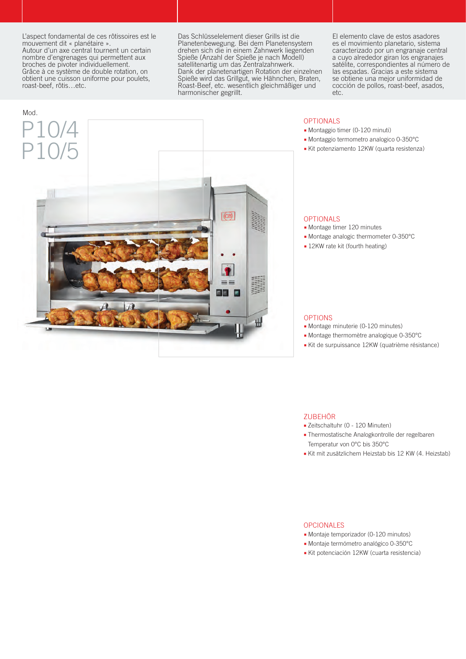L'aspect fondamental de ces rôtissoires est le mouvement dit « planétaire ».

Autour d'un axe central tournent un certain nombre d'engrenages qui permettent aux broches de pivoter individuellement. Grâce à ce système de double rotation, on obtient une cuisson uniforme pour poulets, roast-beef, rôtis…etc.

Das Schlüsselelement dieser Grills ist die Planetenbewegung. Bei dem Planetensystem drehen sich die in einem Zahnwerk liegenden Spieße (Anzahl der Spieße je nach Modell) satellitenartig um das Zentralzahnwerk. Dank der planetenartigen Rotation der einzelnen Spieße wird das Grillgut, wie Hähnchen, Braten, Roast-Beef, etc. wesentlich gleichmäßiger und harmonischer gegrillt.

El elemento clave de estos asadores es el movimiento planetario, sistema caracterizado por un engranaje central a cuyo alrededor giran los engranajes satélite, correspondientes al número de las espadas. Gracias a este sistema se obtiene una mejor uniformidad de cocción de pollos, roast-beef, asados, etc.



#### OPTIONALS

- **■** Montaggio timer (0-120 minuti)
- **■** Montaggio termometro analogico 0-350°C
- **■** Kit potenziamento 12KW (quarta resistenza)

#### OPTIONALS

- **■** Montage timer 120 minutes
- **■** Montage analogic thermometer 0-350°C
- **■** 12KW rate kit (fourth heating)

#### OPTIONS

- **■** Montage minuterie (0-120 minutes)
- **■** Montage thermomètre analogique 0-350°C
- **■** Kit de surpuissance 12KW (quatrième résistance)

#### ZUBEHÖR

- **■** Zeitschaltuhr (0 120 Minuten)
- **■** Thermostatische Analogkontrolle der regelbaren Temperatur von 0°C bis 350°C
- **■** Kit mit zusätzlichem Heizstab bis 12 KW (4. Heizstab)

#### OPCIONALES

- **■** Montaje temporizador (0-120 minutos)
- **■** Montaje termómetro analógico 0-350°C
- **■** Kit potenciación 12KW (cuarta resistencia)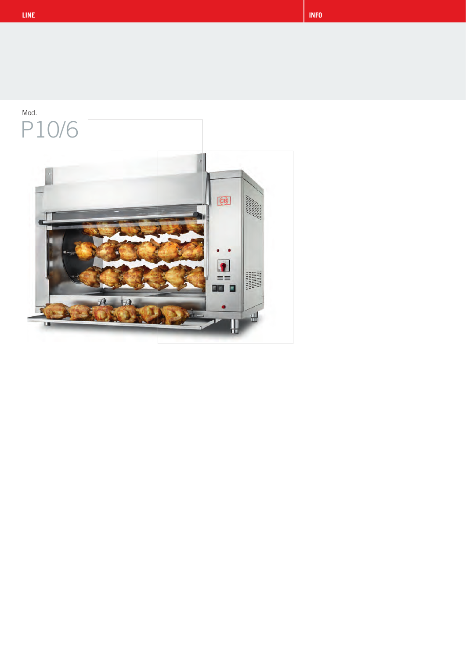

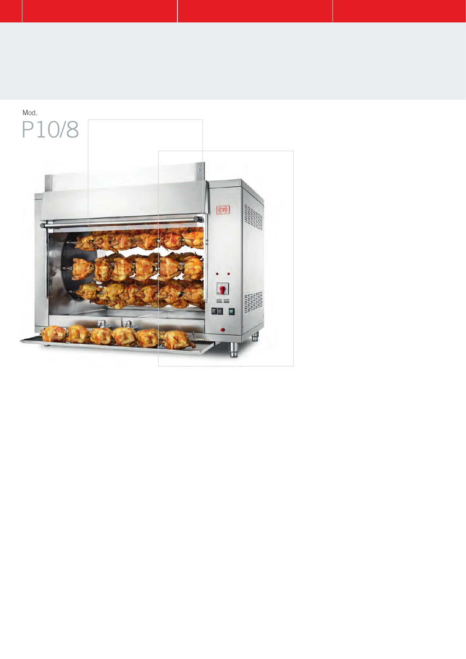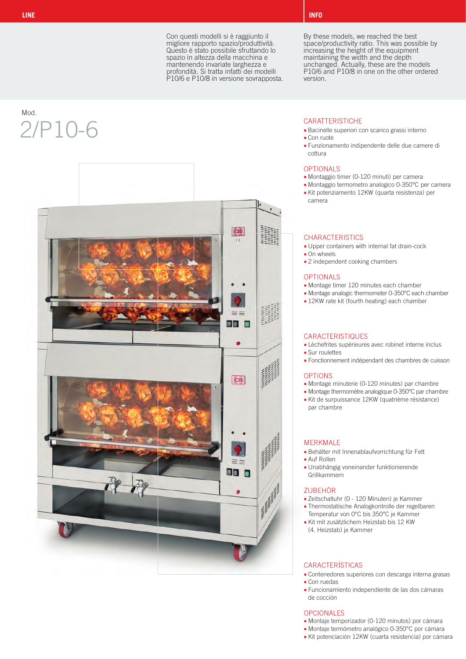Con questi modelli si è raggiunto il migliore rapporto spazio/produttività. Questo è stato possibile sfruttando lo spazio in altezza della macchina e mantenendo invariate larghezza e profondità. Si tratta infatti dei modelli P10/6 e P10/8 in versione sovrapposta.

## Mod.  $2/P10-6$  CARATTERISTICHE



By these models, we reached the best space/productivity ratio. This was possible by increasing the height of the equipment maintaining the width and the depth unchanged. Actually, these are the models P10/6 and P10/8 in one on the other ordered version.

- **■** Bacinelle superiori con scarico grassi interno
- **■** Con ruote
- **■** Funzionamento indipendente delle due camere di cottura

#### OPTIONALS

- **■** Montaggio timer (0-120 minuti) per camera
- **■** Montaggio termometro analogico 0-350°C per camera
- **■** Kit potenziamento 12KW (quarta resistenza) per camera

#### **CHARACTERISTICS**

- **■** Upper containers with internal fat drain-cock
- **■** On wheels
- **■** 2 independent cooking chambers

#### OPTIONALS

- **■** Montage timer 120 minutes each chamber
- **■** Montage analogic thermometer 0-350°C each chamber
- **■** 12KW rate kit (fourth heating) each chamber

### **CARACTERISTIQUES**

- **■** Lèchefrites supérieures avec robinet interne inclus
- **■** Sur roulettes
	- **■** Fonctionnement indépendant des chambres de cuisson

#### OPTIONS

- **■** Montage minuterie (0-120 minutes) par chambre
- **■** Montage thermomètre analogique 0-350°C par chambre **■** Kit de surpuissance 12KW (quatrième résistance) par chambre

### MERKMALE

- **■** Behälter mit Innenablaufvorrichtung für Fett
- **■** Auf Rollen
- **■** Unabhängig voneinander funktionierende Grillkammern

#### ZUBEHÖR

- **■** Zeitschaltuhr (0 120 Minuten) je Kammer
- **■** Thermostatische Analogkontrolle der regelbaren Temperatur von 0°C bis 350°C je Kammer
- **■** Kit mit zusätzlichem Heizstab bis 12 KW (4. Heizstab) je Kammer

### CARACTERÍSTICAS

- **■** Contenedores superiores con descarga interna grasas
- **■** Con ruedas
- **■** Funcionamiento independiente de las dos cámaras de cocción

### OPCIONALES

- **■** Montaje temporizador (0-120 minutos) por cámara
- **■** Montaje termómetro analógico 0-350°C por cámara
- **■** Kit potenciación 12KW (cuarta resistencia) por cámara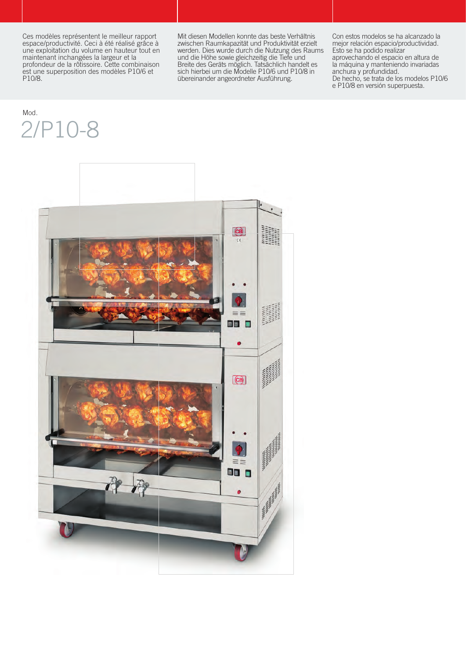Ces modèles représentent le meilleur rapport espace/productivité. Ceci à été réalisé grâce à une exploitation du volume en hauteur tout en maintenant inchangées la largeur et la profondeur de la rôtissoire. Cette combinaison est une superposition des modèles P10/6 et P10/8.

Mit diesen Modellen konnte das beste Verhältnis zwischen Raumkapazität und Produktivität erzielt werden. Dies wurde durch die Nutzung des Raums und die Höhe sowie gleichzeitig die Tiefe und Breite des Geräts möglich. Tatsächlich handelt es sich hierbei um die Modelle P10/6 und P10/8 in übereinander angeordneter Ausführung.

Con estos modelos se ha alcanzado la mejor relación espacio/productividad. Esto se ha podido realizar aprovechando el espacio en altura de la máquina y manteniendo invariadas anchura y profundidad. De hecho, se trata de los modelos P10/6 e P10/8 en versión superpuesta.

## Mod. 2/P10-8

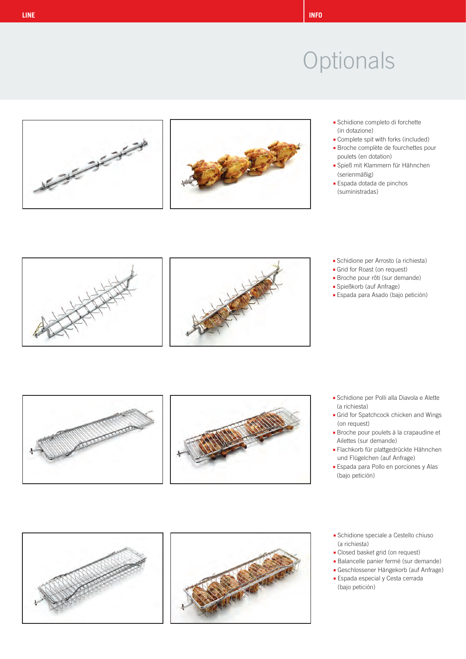



- **■** Schidione completo di forchette (in dotazione)
- **■** Complete spit with forks (included)
- **■** Broche complète de fourchettes pour poulets (en dotation)
- **■** Spieß mit Klammern für Hähnchen (serienmäßig)
- **■** Espada dotada de pinchos (suministradas)





- **■** Schidione per Arrosto (a richiesta)
- **■** Grid for Roast (on request)
- **■** Broche pour rôti (sur demande)
- **■** Spießkorb (auf Anfrage)
- **■** Espada para Asado (bajo petición)



- **■** Schidione per Polli alla Diavola e Alette (a richiesta)
- **■** Grid for Spatchcock chicken and Wings (on request)
- **■** Broche pour poulets à la crapaudine et Ailettes (sur demande)
- **■** Flachkorb für plattgedrückte Hähnchen und Flügelchen (auf Anfrage)
- **■** Espada para Pollo en porciones y Alas (bajo petición)
- **■** Schidione speciale a Cestello chiuso (a richiesta)
- **■** Closed basket grid (on request)
- **■** Balancelle panier fermé (sur demande)
- **■** Geschlossener Hängekorb (auf Anfrage)
- **■** Espada especial y Cesta cerrada (bajo petición)





- -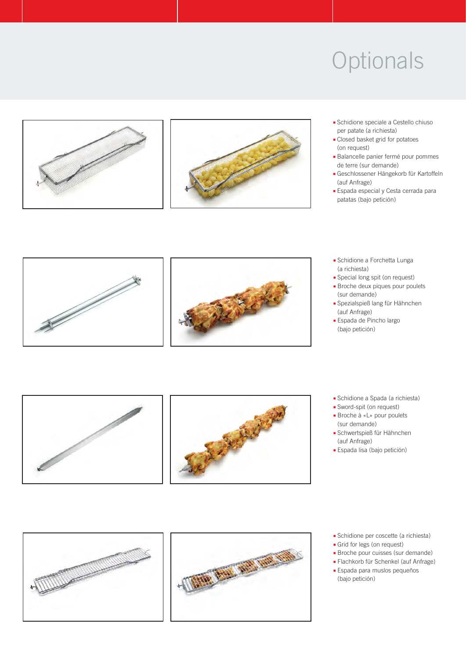



- **■** Schidione speciale a Cestello chiuso per patate (a richiesta)
- **■** Closed basket grid for potatoes (on request)
- **■** Balancelle panier fermé pour pommes de terre (sur demande)
- **■** Geschlossener Hängekorb für Kartoffeln (auf Anfrage)
- **■** Espada especial y Cesta cerrada para patatas (bajo petición)



- **■** Schidione a Forchetta Lunga (a richiesta)
- **■** Special long spit (on request)
- **■** Broche deux piques pour poulets (sur demande)
- **■** Spezialspieß lang für Hähnchen (auf Anfrage)
- **■** Espada de Pincho largo (bajo petición)



- **■** Schidione a Spada (a richiesta)
- **■** Sword-spit (on request)
- **■** Broche à «L» pour poulets (sur demande)
- **■** Schwertspieß für Hähnchen (auf Anfrage)
- **■** Espada lisa (bajo petición)

### **■** Schidione per coscette (a richiesta)

- **■** Grid for legs (on request)
- **■** Broche pour cuisses (sur demande)
- **■** Flachkorb für Schenkel (auf Anfrage) **■** Espada para muslos pequeños (bajo petición)



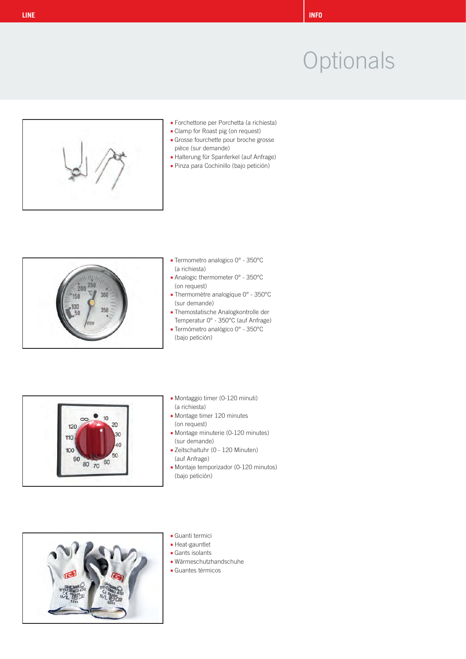

- **■** Forchettone per Porchetta (a richiesta)
- **■** Clamp for Roast pig (on request)
- **■** Grosse fourchette pour broche grosse pièce (sur demande)
- **■** Halterung für Spanferkel (auf Anfrage)
- **■** Pinza para Cochinillo (bajo petición)



- **■** Termometro analogico 0° 350°C (a richiesta)
- **■** Analogic thermometer 0° 350°C (on request)
- **■** Thermomètre analogique 0° 350°C (sur demande)
- **■** Themostatische Analogkontrolle der Temperatur 0° - 350°C (auf Anfrage)
- **■** Termómetro analógico 0° 350°C (bajo petición)



- **■** Montaggio timer (0-120 minuti) (a richiesta)
- **■** Montage timer 120 minutes (on request)
- **■** Montage minuterie (0-120 minutes) (sur demande)
- **■** Zeitschaltuhr (0 120 Minuten) (auf Anfrage)
- **■** Montaje temporizador (0-120 minutos) (bajo petición)



- **■** Guanti termici
- **■** Heat-gauntlet
- **■** Gants isolants
- **■** Wärmeschutzhandschuhe
- **■** Guantes térmicos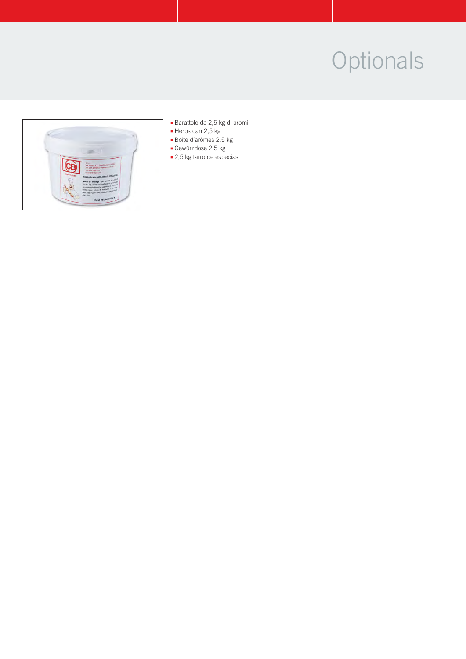

- **■** Barattolo da 2,5 kg di aromi
- **■** Herbs can 2,5 kg
- **■** Boîte d'arômes 2,5 kg
- **■** Gewürzdose 2,5 kg
- **■** 2,5 kg tarro de especias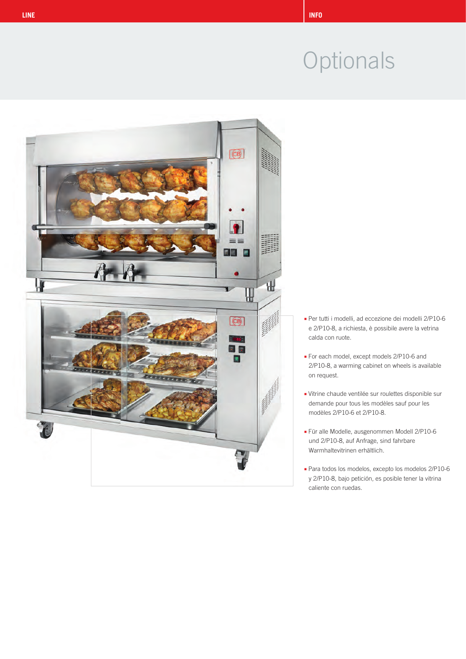

- Per tutti i modelli, ad eccezione dei modelli 2/P10-6 **■** e 2/P10-8, a richiesta, è possibile avere la vetrina **■** calda con ruote.
- **■** For each model, except models 2/P10-6 and **■** 2/P10-8, a warming cabinet on wheels is available on request.
- **■** Vitrine chaude ventilée sur roulettes disponible sur **■** demande pour tous les modèles sauf pour les **■** modèles 2/P10-6 et 2/P10-8.
- **■** Für alle Modelle, ausgenommen Modell 2/P10-6 und 2/P10-8, auf Anfrage, sind fahrbare **■** Warmhaltevitrinen erhältlich.
- Para todos los modelos, excepto los modelos 2/P10-6 **■** y 2/P10-8, bajo petición, es posible tener la vitrina **■** caliente con ruedas.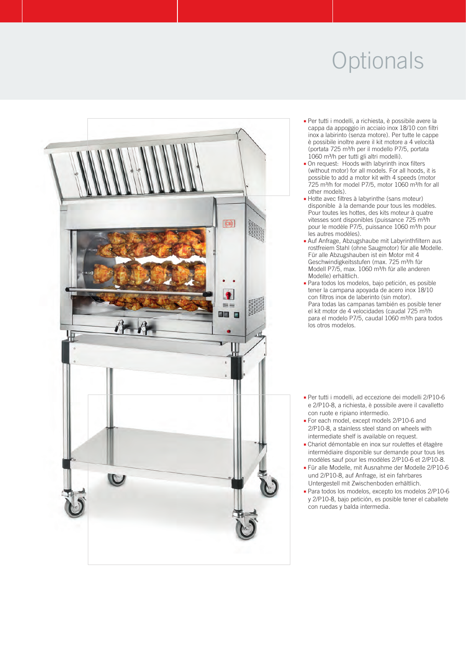

- Per tutti i modelli, a richiesta, è possibile avere la **■** cappa da appoggio in acciaio inox 18/10 con filtri inox a labirinto (senza motore). Per tutte le canne **■** è possibile inoltre avere il kit motore a 4 velocità **■** (portata 725 m³/h per il modello P7/5, portata **■** 1060 m³/h per tutti gli altri modelli).
- **■** On request: Hoods with labyrinth inox filters (without motor) for all models. For all hoods, it is possible to add a motor kit with 4 speeds (motor **■** 725 m³/h for model P7/5, motor 1060 m³/h for all other models).
- **■** Hotte avec filtres à labyrinthe (sans moteur) disponible à la demande pour tous les modèles. Pour toutes les hottes, des kits moteur à quatre vitesses sont disponibles (puissance 725 m<sup>3</sup>/h) pour le modèle P7/5, puissance 1060 m<sup>3</sup>/h pour les autres modèles).
- **■** Auf Anfrage, Abzugshaube mit Labyrinthfiltern aus **■** rostfreiem Stahl (ohne Saugmotor) für alle Modelle. **■** Für alle Abzugshauben ist ein Motor mit 4 Geschwindigkeitsstufen (max. 725 m<sup>3</sup>/h für Modell P7/5, max. 1060 m<sup>3</sup>/h für alle anderen **■** Modelle) erhältlich.
- Para todos los modelos, bajo petición, es posible **■** tener la campana apoyada de acero inox 18/10 **■** con filtros inox de laberinto (sin motor). Para todas las campanas también es posible tener el kit motor de 4 velocidades (caudal 725 m<sup>3</sup>/h para el modelo P7/5, caudal 1060 m<sup>3</sup>/h para todos **■** los otros modelos.
- Per tutti i modelli, ad eccezione dei modelli 2/P10-6 **■** e 2/P10-8, a richiesta, è possibile avere il cavalletto con ruote e ripiano intermedio.
- **■** For each model, except models 2/P10-6 and 2/P10-8, a stainless steel stand on wheels with **■** intermediate shelf is available on request.
- **■** Chariot démontable en inox sur roulettes et étagère **■** intermédiaire disponible sur demande pour tous les **■** modèles sauf pour les modèles 2/P10-6 et 2/P10-8.
- **■** Für alle Modelle, mit Ausnahme der Modelle 2/P10-6 **■** und 2/P10-8, auf Anfrage, ist ein fahrbares **■** Untergestell mit Zwischenboden erhältlich.
- Para todos los modelos, excepto los modelos 2/P10-6 **■** y 2/P10-8, bajo petición, es posible tener el caballete con ruedas y balda intermedia.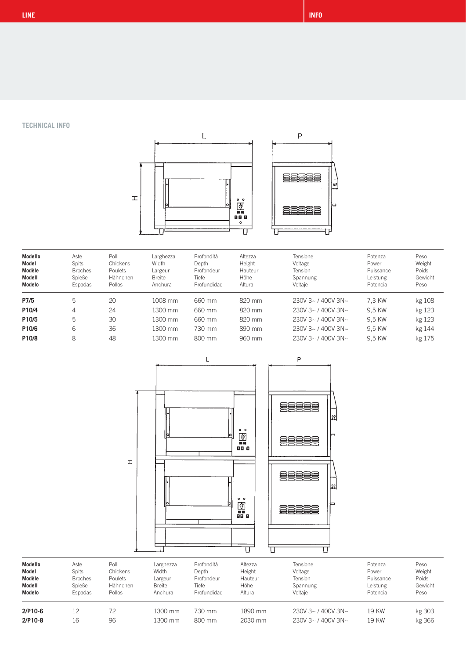**TECHNICAL INFO**



| Modello<br>Model<br>Modèle<br>Modell<br>Modelo | Aste<br>Spits<br><b>Broches</b><br>Spieße<br>Espadas | Polli<br>Chickens<br>Poulets<br>Hähnchen<br>Pollos | Larghezza<br>Width<br>Largeur<br><b>Breite</b><br>Anchura | Profondità<br>Depth<br>Profondeur<br>Tiefe<br>Profundidad | Altezza<br>Height<br>Hauteur<br>Höhe<br>Altura | Tensione<br>Voltage<br>Tension<br>Spannung<br>Voltaje | Potenza<br>Power<br>Puissance<br>Leistung<br>Potencia | Peso<br>Weight<br>Poids<br>Gewicht<br>Peso |
|------------------------------------------------|------------------------------------------------------|----------------------------------------------------|-----------------------------------------------------------|-----------------------------------------------------------|------------------------------------------------|-------------------------------------------------------|-------------------------------------------------------|--------------------------------------------|
| P7/5                                           | 5                                                    | 20                                                 | 1008 mm                                                   | 660 mm                                                    | 820 mm                                         | $230V$ 3~ / 400V 3N~                                  | 7.3 KW                                                | kg 108                                     |
| P10/4                                          | 4                                                    | 24                                                 | 1300 mm                                                   | 660 mm                                                    | 820 mm                                         | $230V$ 3~ / 400V 3N~                                  | 9.5 KW                                                | kg 123                                     |
| P10/5                                          | 5                                                    | 30                                                 | 1300 mm                                                   | 660 mm                                                    | 820 mm                                         | $230V$ 3~ / 400V 3N~                                  | 9.5 KW                                                | kg 123                                     |
| P10/6                                          | 6                                                    | 36                                                 | 1300 mm                                                   | 730 mm                                                    | 890 mm                                         | $230V$ 3~ / 400V 3N~                                  | 9.5 KW                                                | kg 144                                     |
| P10/8                                          | 8                                                    | 48                                                 | 1300 mm                                                   | 800 mm                                                    | 960 mm                                         | $230V$ 3~ / 400V 3N~                                  | 9.5 KW                                                | kg 175                                     |





| Modello   | Aste           | Polli    | Larghezza     | Profondità  | Altezza | Tensione             | Potenza   | Peso    |
|-----------|----------------|----------|---------------|-------------|---------|----------------------|-----------|---------|
| Model     | Spits          | Chickens | Width         | Depth       | Height  | Voltage              | Power     | Weight  |
| Modèle    | <b>Broches</b> | Poulets  | Largeur       | Profondeur  | Hauteur | Tension              | Puissance | Poids   |
| Modell    | Spieße         | Hähnchen | <b>Breite</b> | Tiefe       | Höhe    | Spannung             | Leistung  | Gewicht |
| Modelo    | Espadas        | Pollos   | Anchura       | Profundidad | Altura  | Voltaie              | Potencia  | Peso    |
| $2/P10-6$ | 12             | 72       | 1300 mm       | 730 mm      | 1890 mm | $230V$ 3~ / 400V 3N~ | 19 KW     | kg 303  |
| $2/P10-8$ | 16             | 96       | 1300 mm       | 800 mm      | 2030 mm | $230V$ 3~ / 400V 3N~ | 19 KW     | kg 366  |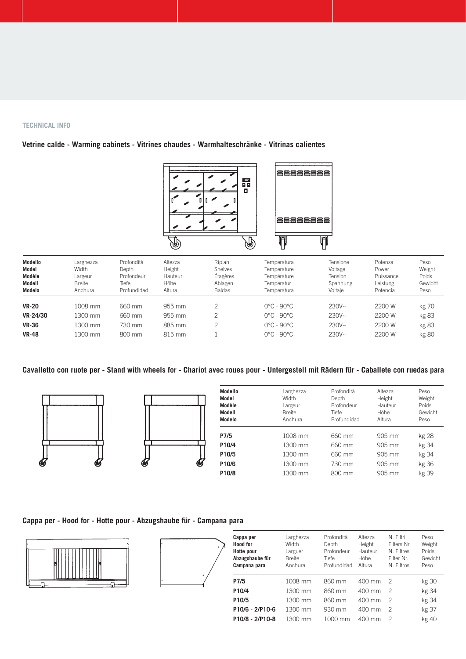#### **TECHNICAL INFO**

## **Vetrine calde - Warming cabinets - Vitrines chaudes - Warmhalteschränke - Vitrinas calientes**



| Modello<br>Model<br>Modèle<br>Modell<br>Modelo | Larghezza<br>Width<br>Largeur<br><b>Breite</b><br>Anchura | Profondità<br>Depth<br>Profondeur<br>Tiefe<br>Profundidad | Altezza<br>Height<br>Hauteur<br>Höhe<br>Altura | Ripiani<br>Shelves<br>Étagères<br>Ablagen<br><b>Baldas</b> | Temperatura<br>Temperature<br>Température<br>Temperatur<br>Temperatura | Tensione<br>Voltage<br>Tension<br>Spannung<br>Voltaie | Potenza<br>Power<br>Puissance<br>Leistung<br>Potencia | Peso<br>Weight<br>Poids<br>Gewicht<br>Peso |
|------------------------------------------------|-----------------------------------------------------------|-----------------------------------------------------------|------------------------------------------------|------------------------------------------------------------|------------------------------------------------------------------------|-------------------------------------------------------|-------------------------------------------------------|--------------------------------------------|
| <b>VR-20</b>                                   | 1008 mm                                                   | 660 mm                                                    | 955 mm                                         |                                                            | $0^{\circ}$ C - 90 $^{\circ}$ C                                        | $230V -$                                              | 2200 W                                                | kg 70                                      |
| VR-24/30                                       | 1300 mm                                                   | 660 mm                                                    | 955 mm                                         | 2                                                          | $0^{\circ}$ C - 90 $^{\circ}$ C                                        | $230V -$                                              | 2200 W                                                | kg 83                                      |
| <b>VR-36</b>                                   | 1300 mm                                                   | 730 mm                                                    | 885 mm                                         | っ                                                          | $0^{\circ}$ C - 90 $^{\circ}$ C                                        | $230V -$                                              | 2200 W                                                | kg 83                                      |
| <b>VR-48</b>                                   | 1300 mm                                                   | 800 mm                                                    | 815 mm                                         |                                                            | $0^{\circ}$ C - 90 $^{\circ}$ C                                        | $230V -$                                              | 2200 W                                                | kg 80                                      |

### **Cavalletto con ruote per - Stand with wheels for - Chariot avec roues pour - Untergestell mit Rädern für - Caballete con ruedas para**





| Modello<br>Model<br>Modèle<br>Modell<br>Modelo | Larghezza<br>Width<br>Largeur<br><b>Breite</b><br>Anchura | Profondità<br>Depth<br>Profondeur<br><b>Tiefe</b><br>Profundidad | Altezza<br>Height<br>Hauteur<br>Höhe<br>Altura | Peso<br>Weight<br>Poids<br>Gewicht<br>Peso |
|------------------------------------------------|-----------------------------------------------------------|------------------------------------------------------------------|------------------------------------------------|--------------------------------------------|
| P7/5                                           | 1008 mm                                                   | 660 mm                                                           | 905 mm                                         | kg 28                                      |
| P10/4                                          | 1300 mm                                                   | 660 mm                                                           | 905 mm                                         | kg 34                                      |
| P10/5                                          | 1300 mm                                                   | 660 mm                                                           | 905 mm                                         | kg 34                                      |
| P10/6                                          | 1300 mm                                                   | 730 mm                                                           | 905 mm                                         | kg 36                                      |
| P10/8                                          | 1300 mm                                                   | 800 mm                                                           | 905 mm                                         | kg 39                                      |

### **Cappa per - Hood for - Hotte pour - Abzugshaube für - Campana para**





| Cappa per<br><b>Hood for</b><br>Hotte pour<br>Abzugshaube für<br>Campana para | Larghezza<br>Width<br>Larguer<br><b>Breite</b><br>Anchura | Profondità<br>Depth<br>Profondeur<br>Tiefe<br>Profundidad | Altezza<br>Height<br>Hauteur<br>Höhe<br>Altura | N Filtri<br>Filters Nr.<br>N. Filtres<br>Filter Nr.<br>N. Filtros | Peso<br>Weight<br>Poids<br>Gewicht<br>Peso |
|-------------------------------------------------------------------------------|-----------------------------------------------------------|-----------------------------------------------------------|------------------------------------------------|-------------------------------------------------------------------|--------------------------------------------|
| P7/5                                                                          | 1008 mm                                                   | 860 mm                                                    | 400 mm                                         | 2                                                                 | kg 30                                      |
| P10/4                                                                         | 1300 mm                                                   | 860 mm                                                    | $400 \text{ mm}$                               | 2                                                                 | kg 34                                      |
| P10/5                                                                         | 1300 mm                                                   | 860 mm                                                    | 400 mm                                         | 2                                                                 | kg 34                                      |
| P10/6 - 2/P10-6                                                               | 1300 mm                                                   | 930 mm                                                    | $400 \text{ mm}$                               | 2                                                                 | kg 37                                      |
| P10/8 - 2/P10-8                                                               | 1300 mm                                                   | $1000 \text{ mm}$                                         | $400 \text{ mm}$                               | 2                                                                 | kg 40                                      |
|                                                                               |                                                           |                                                           |                                                |                                                                   |                                            |